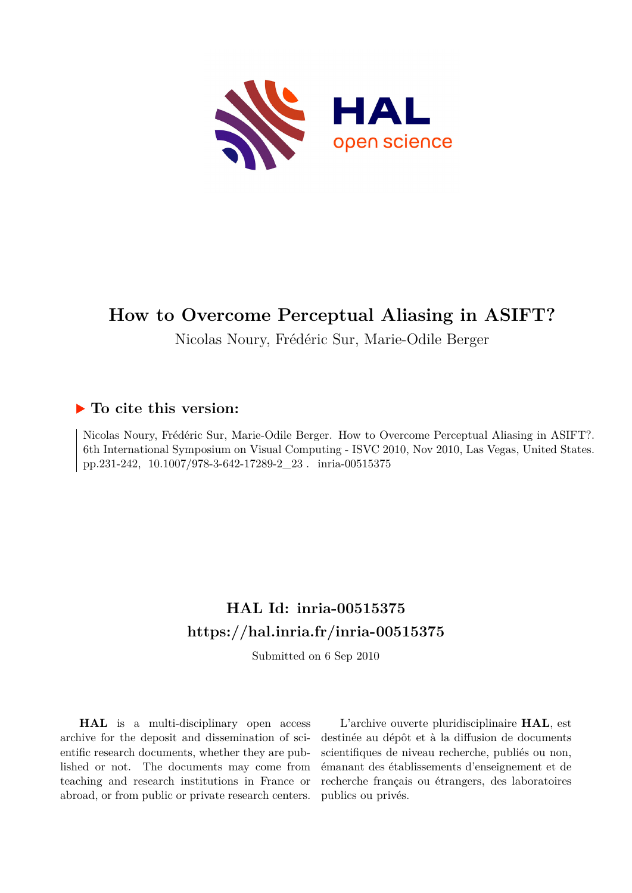

# **How to Overcome Perceptual Aliasing in ASIFT?**

Nicolas Noury, Frédéric Sur, Marie-Odile Berger

## **To cite this version:**

Nicolas Noury, Frédéric Sur, Marie-Odile Berger. How to Overcome Perceptual Aliasing in ASIFT?. 6th International Symposium on Visual Computing - ISVC 2010, Nov 2010, Las Vegas, United States. pp.231-242, 10.1007/978-3-642-17289-2\_23 . inria-00515375

# **HAL Id: inria-00515375 <https://hal.inria.fr/inria-00515375>**

Submitted on 6 Sep 2010

**HAL** is a multi-disciplinary open access archive for the deposit and dissemination of scientific research documents, whether they are published or not. The documents may come from teaching and research institutions in France or abroad, or from public or private research centers.

L'archive ouverte pluridisciplinaire **HAL**, est destinée au dépôt et à la diffusion de documents scientifiques de niveau recherche, publiés ou non, émanant des établissements d'enseignement et de recherche français ou étrangers, des laboratoires publics ou privés.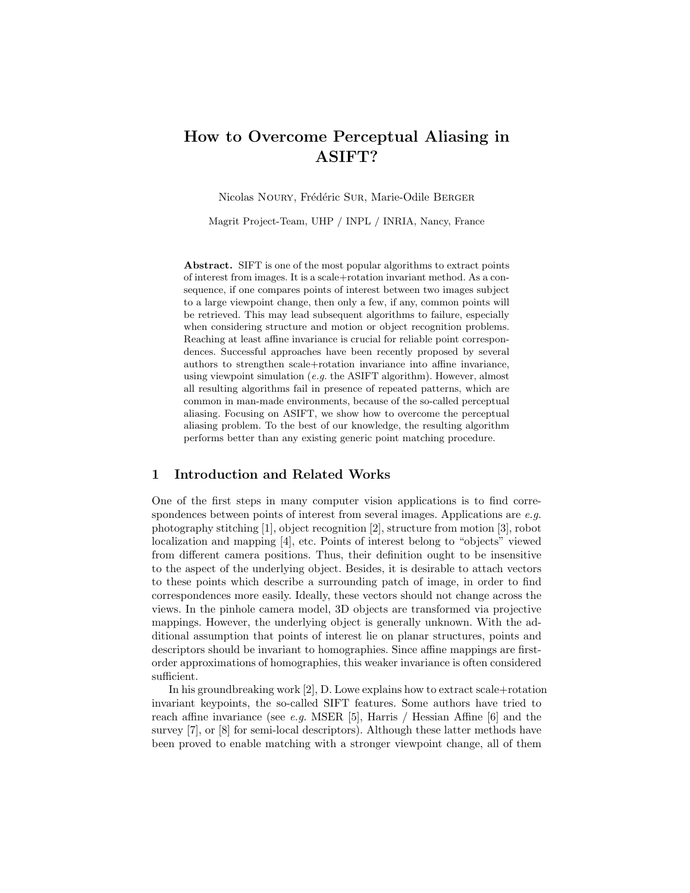## How to Overcome Perceptual Aliasing in ASIFT?

Nicolas NOURY, Frédéric SUR, Marie-Odile BERGER

Magrit Project-Team, UHP / INPL / INRIA, Nancy, France

Abstract. SIFT is one of the most popular algorithms to extract points of interest from images. It is a scale+rotation invariant method. As a consequence, if one compares points of interest between two images subject to a large viewpoint change, then only a few, if any, common points will be retrieved. This may lead subsequent algorithms to failure, especially when considering structure and motion or object recognition problems. Reaching at least affine invariance is crucial for reliable point correspondences. Successful approaches have been recently proposed by several authors to strengthen scale+rotation invariance into affine invariance, using viewpoint simulation (e.g. the ASIFT algorithm). However, almost all resulting algorithms fail in presence of repeated patterns, which are common in man-made environments, because of the so-called perceptual aliasing. Focusing on ASIFT, we show how to overcome the perceptual aliasing problem. To the best of our knowledge, the resulting algorithm performs better than any existing generic point matching procedure.

#### 1 Introduction and Related Works

One of the first steps in many computer vision applications is to find correspondences between points of interest from several images. Applications are e.g. photography stitching [1], object recognition [2], structure from motion [3], robot localization and mapping [4], etc. Points of interest belong to "objects" viewed from different camera positions. Thus, their definition ought to be insensitive to the aspect of the underlying object. Besides, it is desirable to attach vectors to these points which describe a surrounding patch of image, in order to find correspondences more easily. Ideally, these vectors should not change across the views. In the pinhole camera model, 3D objects are transformed via projective mappings. However, the underlying object is generally unknown. With the additional assumption that points of interest lie on planar structures, points and descriptors should be invariant to homographies. Since affine mappings are firstorder approximations of homographies, this weaker invariance is often considered sufficient.

In his groundbreaking work [2], D. Lowe explains how to extract scale+rotation invariant keypoints, the so-called SIFT features. Some authors have tried to reach affine invariance (see e.g. MSER [5], Harris / Hessian Affine [6] and the survey [7], or [8] for semi-local descriptors). Although these latter methods have been proved to enable matching with a stronger viewpoint change, all of them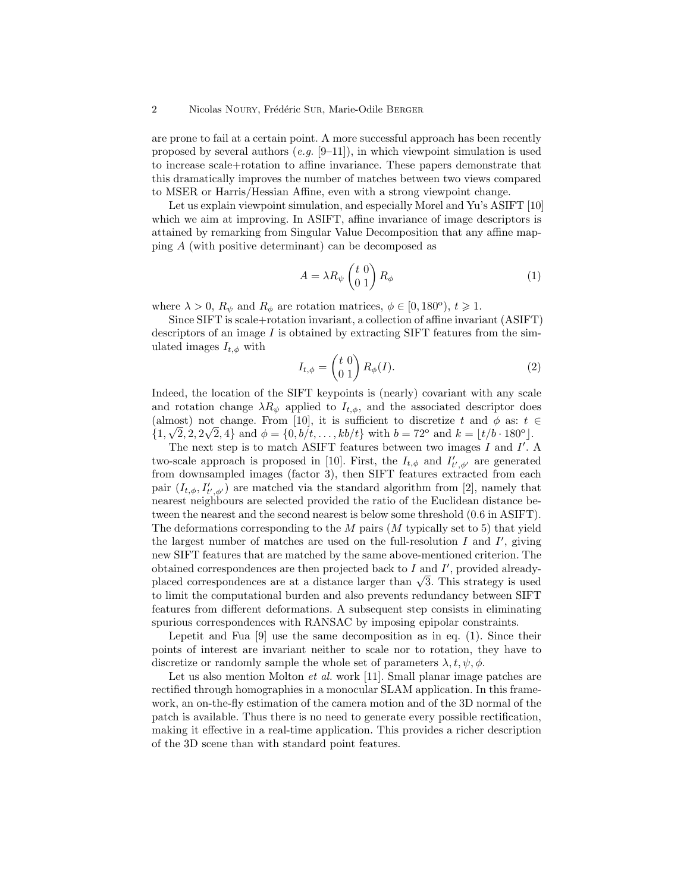are prone to fail at a certain point. A more successful approach has been recently proposed by several authors  $(e.g. [9-11])$ , in which viewpoint simulation is used to increase scale+rotation to affine invariance. These papers demonstrate that this dramatically improves the number of matches between two views compared to MSER or Harris/Hessian Affine, even with a strong viewpoint change.

Let us explain viewpoint simulation, and especially Morel and Yu's ASIFT [10] which we aim at improving. In ASIFT, affine invariance of image descriptors is attained by remarking from Singular Value Decomposition that any affine mapping A (with positive determinant) can be decomposed as

$$
A = \lambda R_{\psi} \begin{pmatrix} t & 0 \\ 0 & 1 \end{pmatrix} R_{\phi} \tag{1}
$$

where  $\lambda > 0$ ,  $R_{\psi}$  and  $R_{\phi}$  are rotation matrices,  $\phi \in [0, 180^{\circ}), t \geq 1$ .

Since SIFT is scale+rotation invariant, a collection of affine invariant (ASIFT) descriptors of an image  $I$  is obtained by extracting SIFT features from the simulated images  $I_{t,\phi}$  with

$$
I_{t,\phi} = \begin{pmatrix} t & 0 \\ 0 & 1 \end{pmatrix} R_{\phi}(I). \tag{2}
$$

Indeed, the location of the SIFT keypoints is (nearly) covariant with any scale and rotation change  $\lambda R_{\psi}$  applied to  $I_{t,\phi}$ , and the associated descriptor does (almost) not change. From [10], it is sufficient to discretize t and  $\phi$  as:  $t \in$ (allow) not change. Then [10], it is summer to discrete  $\ell$  and  $\psi$  as:<br>{1,  $\sqrt{2}$ , 2,  $2\sqrt{2}$ , 4} and  $\phi = \{0, b/t, ..., kb/t\}$  with  $b = 72^{\circ}$  and  $k = \lfloor t/b \cdot 180^{\circ} \rfloor$ .

The next step is to match ASIFT features between two images  $I$  and  $I'$ . A two-scale approach is proposed in [10]. First, the  $I_{t,\phi}$  and  $I'_{t',\phi'}$  are generated from downsampled images (factor 3), then SIFT features extracted from each pair  $(I_{t,\phi}, I'_{t',\phi'})$  are matched via the standard algorithm from [2], namely that nearest neighbours are selected provided the ratio of the Euclidean distance between the nearest and the second nearest is below some threshold (0.6 in ASIFT). The deformations corresponding to the  $M$  pairs  $(M$  typically set to 5) that yield the largest number of matches are used on the full-resolution  $I$  and  $I'$ , giving new SIFT features that are matched by the same above-mentioned criterion. The obtained correspondences are then projected back to  $I$  and  $I'$ , provided alreadyplaced correspondences are at a distance larger than  $\sqrt{3}$ . This strategy is used to limit the computational burden and also prevents redundancy between SIFT features from different deformations. A subsequent step consists in eliminating spurious correspondences with RANSAC by imposing epipolar constraints.

Lepetit and Fua [9] use the same decomposition as in eq. (1). Since their points of interest are invariant neither to scale nor to rotation, they have to discretize or randomly sample the whole set of parameters  $\lambda, t, \psi, \phi$ .

Let us also mention Molton *et al.* work [11]. Small planar image patches are rectified through homographies in a monocular SLAM application. In this framework, an on-the-fly estimation of the camera motion and of the 3D normal of the patch is available. Thus there is no need to generate every possible rectification, making it effective in a real-time application. This provides a richer description of the 3D scene than with standard point features.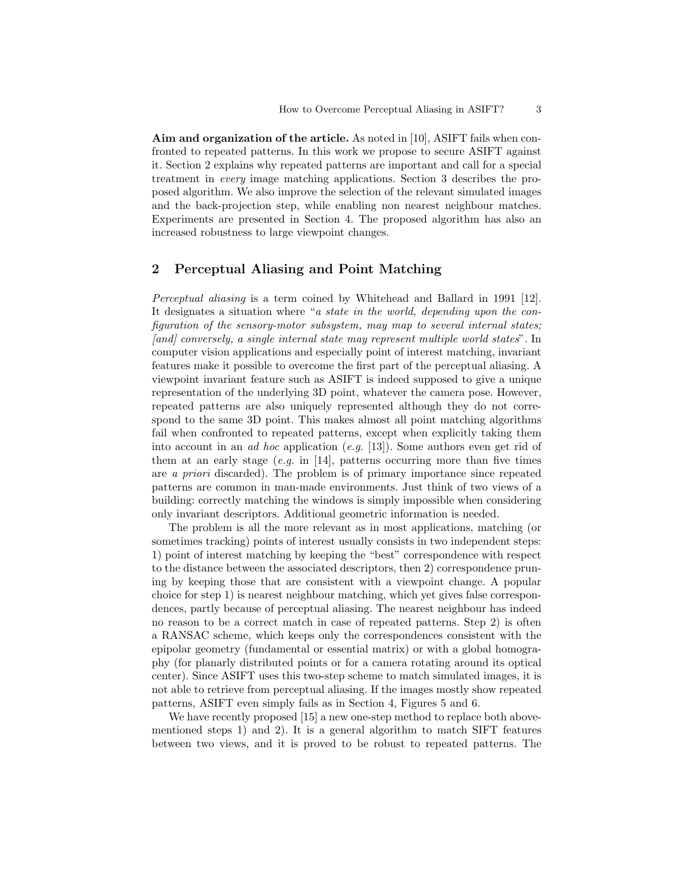Aim and organization of the article. As noted in [10], ASIFT fails when confronted to repeated patterns. In this work we propose to secure ASIFT against it. Section 2 explains why repeated patterns are important and call for a special treatment in every image matching applications. Section 3 describes the proposed algorithm. We also improve the selection of the relevant simulated images and the back-projection step, while enabling non nearest neighbour matches. Experiments are presented in Section 4. The proposed algorithm has also an increased robustness to large viewpoint changes.

#### 2 Perceptual Aliasing and Point Matching

Perceptual aliasing is a term coined by Whitehead and Ballard in 1991 [12]. It designates a situation where "a state in the world, depending upon the configuration of the sensory-motor subsystem, may map to several internal states; [and] conversely, a single internal state may represent multiple world states". In computer vision applications and especially point of interest matching, invariant features make it possible to overcome the first part of the perceptual aliasing. A viewpoint invariant feature such as ASIFT is indeed supposed to give a unique representation of the underlying 3D point, whatever the camera pose. However, repeated patterns are also uniquely represented although they do not correspond to the same 3D point. This makes almost all point matching algorithms fail when confronted to repeated patterns, except when explicitly taking them into account in an ad hoc application (e.g. [13]). Some authors even get rid of them at an early stage  $(e.g.$  in [14], patterns occurring more than five times are a priori discarded). The problem is of primary importance since repeated patterns are common in man-made environments. Just think of two views of a building: correctly matching the windows is simply impossible when considering only invariant descriptors. Additional geometric information is needed.

The problem is all the more relevant as in most applications, matching (or sometimes tracking) points of interest usually consists in two independent steps: 1) point of interest matching by keeping the "best" correspondence with respect to the distance between the associated descriptors, then 2) correspondence pruning by keeping those that are consistent with a viewpoint change. A popular choice for step 1) is nearest neighbour matching, which yet gives false correspondences, partly because of perceptual aliasing. The nearest neighbour has indeed no reason to be a correct match in case of repeated patterns. Step 2) is often a RANSAC scheme, which keeps only the correspondences consistent with the epipolar geometry (fundamental or essential matrix) or with a global homography (for planarly distributed points or for a camera rotating around its optical center). Since ASIFT uses this two-step scheme to match simulated images, it is not able to retrieve from perceptual aliasing. If the images mostly show repeated patterns, ASIFT even simply fails as in Section 4, Figures 5 and 6.

We have recently proposed [15] a new one-step method to replace both abovementioned steps 1) and 2). It is a general algorithm to match SIFT features between two views, and it is proved to be robust to repeated patterns. The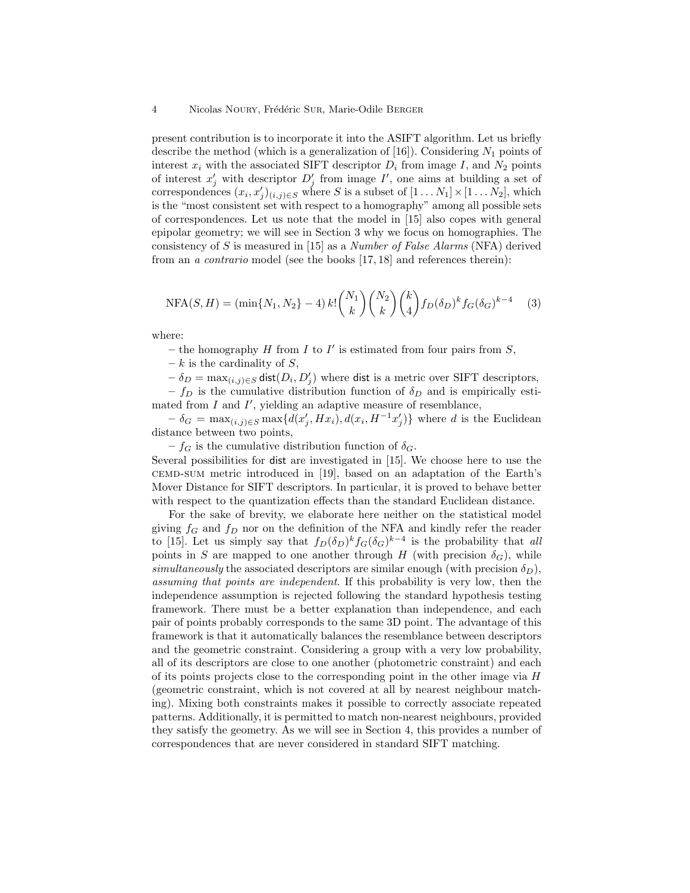present contribution is to incorporate it into the ASIFT algorithm. Let us briefly describe the method (which is a generalization of  $[16]$ ). Considering  $N_1$  points of interest  $x_i$  with the associated SIFT descriptor  $D_i$  from image I, and  $N_2$  points of interest  $x'_j$  with descriptor  $D'_j$  from image  $I'$ , one aims at building a set of correspondences  $(x_i, x'_j)_{(i,j) \in S}$  where S is a subset of  $[1 \dots N_1] \times [1 \dots N_2]$ , which is the "most consistent set with respect to a homography" among all possible sets of correspondences. Let us note that the model in [15] also copes with general epipolar geometry; we will see in Section 3 why we focus on homographies. The consistency of S is measured in [15] as a *Number of False Alarms* (NFA) derived from an a contrario model (see the books [17, 18] and references therein):

NFA(S, H) = (min{N<sub>1</sub>, N<sub>2</sub>} - 4) k! 
$$
\binom{N_1}{k} \binom{N_2}{k} \binom{k}{4} f_D(\delta_D)^k f_G(\delta_G)^{k-4}
$$
 (3)

where:

– the homography  $H$  from  $I$  to  $I'$  is estimated from four pairs from  $S$ ,

 $-k$  is the cardinality of S,

 $-\delta_D = \max_{(i,j)\in S} \text{dist}(D_i, D'_j)$  where dist is a metric over SIFT descriptors,

–  $f_D$  is the cumulative distribution function of  $\delta_D$  and is empirically estimated from  $I$  and  $I'$ , yielding an adaptive measure of resemblance,

 $-\delta_G = \max_{(i,j)\in S} \max\{d(x'_j, Hx_i), d(x_i, H^{-1}x'_j)\}\$  where d is the Euclidean distance between two points,

–  $f_G$  is the cumulative distribution function of  $\delta_G$ .

Several possibilities for dist are investigated in [15]. We choose here to use the cemd-sum metric introduced in [19], based on an adaptation of the Earth's Mover Distance for SIFT descriptors. In particular, it is proved to behave better with respect to the quantization effects than the standard Euclidean distance.

For the sake of brevity, we elaborate here neither on the statistical model giving  $f_G$  and  $f_D$  nor on the definition of the NFA and kindly refer the reader to [15]. Let us simply say that  $f_D(\delta_D)^k f_G(\delta_G)^{k-4}$  is the probability that all points in S are mapped to one another through H (with precision  $\delta_G$ ), while simultaneously the associated descriptors are similar enough (with precision  $\delta_D$ ), assuming that points are independent. If this probability is very low, then the independence assumption is rejected following the standard hypothesis testing framework. There must be a better explanation than independence, and each pair of points probably corresponds to the same 3D point. The advantage of this framework is that it automatically balances the resemblance between descriptors and the geometric constraint. Considering a group with a very low probability, all of its descriptors are close to one another (photometric constraint) and each of its points projects close to the corresponding point in the other image via  $H$ (geometric constraint, which is not covered at all by nearest neighbour matching). Mixing both constraints makes it possible to correctly associate repeated patterns. Additionally, it is permitted to match non-nearest neighbours, provided they satisfy the geometry. As we will see in Section 4, this provides a number of correspondences that are never considered in standard SIFT matching.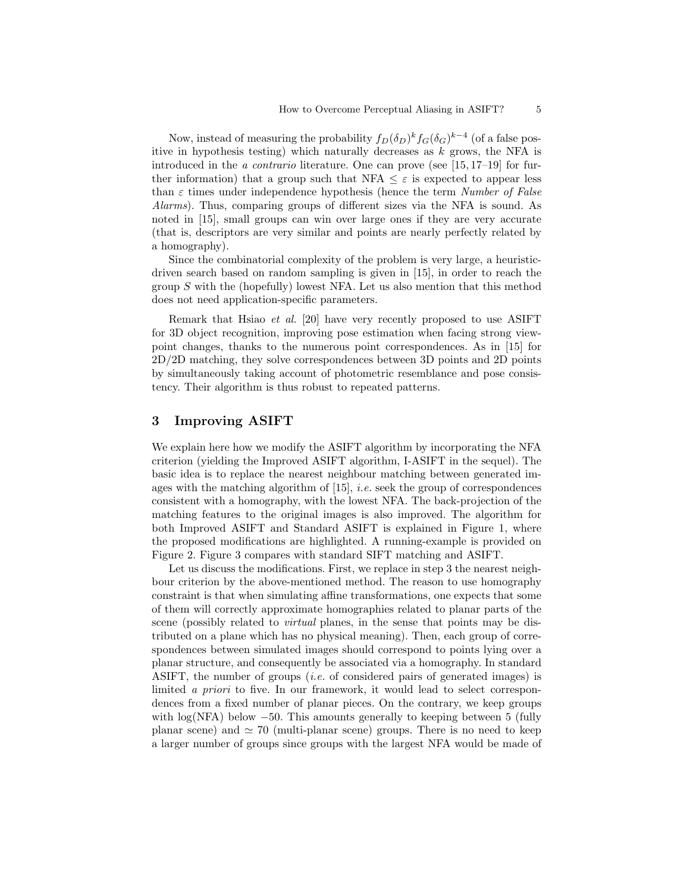Now, instead of measuring the probability  $f_D(\delta_D)^k f_G(\delta_G)^{k-4}$  (of a false positive in hypothesis testing) which naturally decreases as  $k$  grows, the NFA is introduced in the *a contrario* literature. One can prove (see  $[15, 17-19]$  for further information) that a group such that NFA  $\leq \varepsilon$  is expected to appear less than  $\varepsilon$  times under independence hypothesis (hence the term Number of False Alarms). Thus, comparing groups of different sizes via the NFA is sound. As noted in [15], small groups can win over large ones if they are very accurate (that is, descriptors are very similar and points are nearly perfectly related by a homography).

Since the combinatorial complexity of the problem is very large, a heuristicdriven search based on random sampling is given in [15], in order to reach the group  $S$  with the (hopefully) lowest NFA. Let us also mention that this method does not need application-specific parameters.

Remark that Hsiao et al. [20] have very recently proposed to use ASIFT for 3D object recognition, improving pose estimation when facing strong viewpoint changes, thanks to the numerous point correspondences. As in [15] for 2D/2D matching, they solve correspondences between 3D points and 2D points by simultaneously taking account of photometric resemblance and pose consistency. Their algorithm is thus robust to repeated patterns.

### 3 Improving ASIFT

We explain here how we modify the ASIFT algorithm by incorporating the NFA criterion (yielding the Improved ASIFT algorithm, I-ASIFT in the sequel). The basic idea is to replace the nearest neighbour matching between generated images with the matching algorithm of  $[15]$ , *i.e.* seek the group of correspondences consistent with a homography, with the lowest NFA. The back-projection of the matching features to the original images is also improved. The algorithm for both Improved ASIFT and Standard ASIFT is explained in Figure 1, where the proposed modifications are highlighted. A running-example is provided on Figure 2. Figure 3 compares with standard SIFT matching and ASIFT.

Let us discuss the modifications. First, we replace in step 3 the nearest neighbour criterion by the above-mentioned method. The reason to use homography constraint is that when simulating affine transformations, one expects that some of them will correctly approximate homographies related to planar parts of the scene (possibly related to *virtual* planes, in the sense that points may be distributed on a plane which has no physical meaning). Then, each group of correspondences between simulated images should correspond to points lying over a planar structure, and consequently be associated via a homography. In standard ASIFT, the number of groups *(i.e.* of considered pairs of generated images) is limited a priori to five. In our framework, it would lead to select correspondences from a fixed number of planar pieces. On the contrary, we keep groups with  $\log(NFA)$  below  $-50$ . This amounts generally to keeping between 5 (fully planar scene) and  $\simeq 70$  (multi-planar scene) groups. There is no need to keep a larger number of groups since groups with the largest NFA would be made of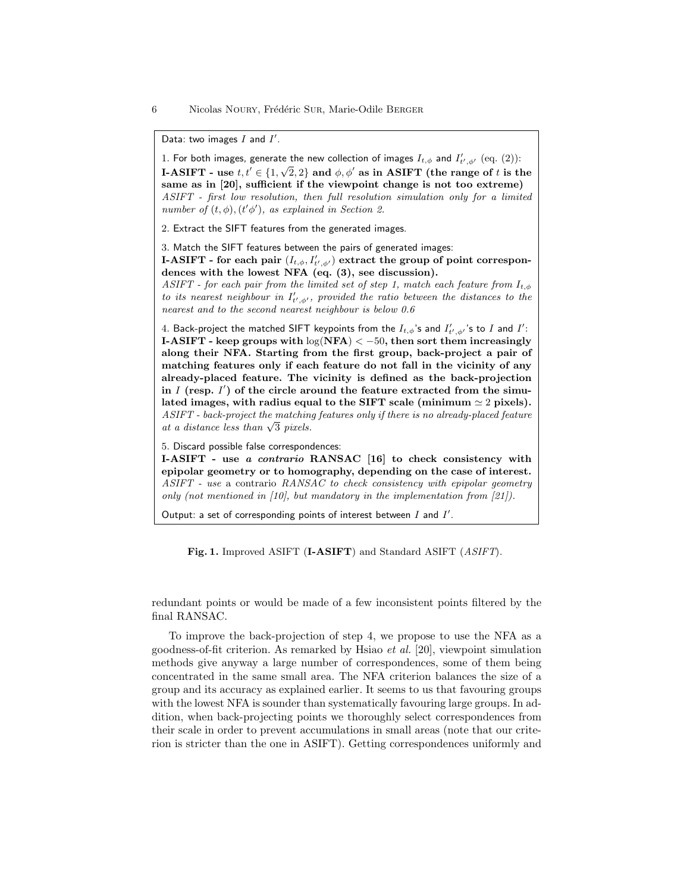Data: two images  $I$  and  $I'$ .

1. For both images, generate the new collection of images  $I_{t,\phi}$  and  $I'_{t',\phi'}$  (eq. (2)): **I-ASIFT** - use  $t, t' \in \{1, \sqrt{2}, 2\}$  and  $\phi, \phi'$  as in ASIFT (the range of t is the same as in [20], sufficient if the viewpoint change is not too extreme) ASIFT - first low resolution, then full resolution simulation only for a limited number of  $(t, \phi), (t' \phi')$ , as explained in Section 2.

2. Extract the SIFT features from the generated images.

3. Match the SIFT features between the pairs of generated images:

I-ASIFT - for each pair  $(I_{t,\phi}, I'_{t',\phi'})$  extract the group of point correspondences with the lowest NFA (eq. (3), see discussion).

ASIFT - for each pair from the limited set of step 1, match each feature from  $I_{t,\phi}$ to its nearest neighbour in  $I'_{t',\phi'}$ , provided the ratio between the distances to the nearest and to the second nearest neighbour is below 0.6

4. Back-project the matched SIFT keypoints from the  $I_{t,\phi}$ 's and  $I'_{t',\phi'}$ 's to  $I$  and  $I'$ : I-ASIFT - keep groups with  $log(NFA) < -50$ , then sort them increasingly along their NFA. Starting from the first group, back-project a pair of matching features only if each feature do not fall in the vicinity of any already-placed feature. The vicinity is defined as the back-projection in  $I$  (resp.  $I'$ ) of the circle around the feature extracted from the simulated images, with radius equal to the SIFT scale (minimum  $\simeq 2$  pixels). ASIFT - back-project the matching features only if there is no already-placed feature at a distance less than  $\sqrt{3}$  pixels.

5. Discard possible false correspondences:

I-ASIFT - use a contrario RANSAC [16] to check consistency with epipolar geometry or to homography, depending on the case of interest. ASIFT - use a contrario RANSAC to check consistency with epipolar geometry only (not mentioned in [10], but mandatory in the implementation from [21]).

Output: a set of corresponding points of interest between  $I$  and  $I'$ .

Fig. 1. Improved ASIFT (I-ASIFT) and Standard ASIFT (ASIFT).

redundant points or would be made of a few inconsistent points filtered by the final RANSAC.

To improve the back-projection of step 4, we propose to use the NFA as a goodness-of-fit criterion. As remarked by Hsiao et al. [20], viewpoint simulation methods give anyway a large number of correspondences, some of them being concentrated in the same small area. The NFA criterion balances the size of a group and its accuracy as explained earlier. It seems to us that favouring groups with the lowest NFA is sounder than systematically favouring large groups. In addition, when back-projecting points we thoroughly select correspondences from their scale in order to prevent accumulations in small areas (note that our criterion is stricter than the one in ASIFT). Getting correspondences uniformly and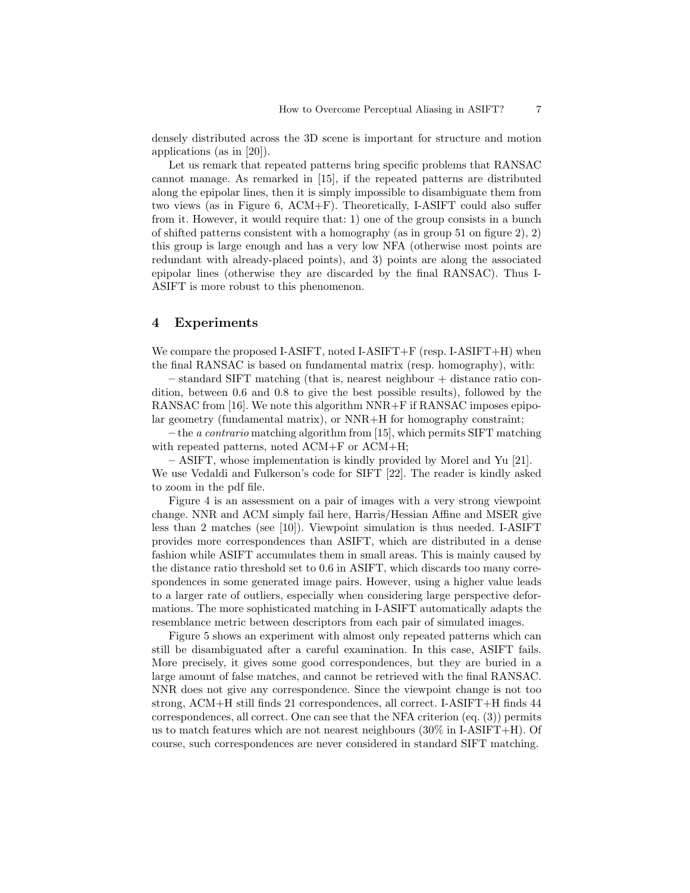densely distributed across the 3D scene is important for structure and motion applications (as in [20]).

Let us remark that repeated patterns bring specific problems that RANSAC cannot manage. As remarked in [15], if the repeated patterns are distributed along the epipolar lines, then it is simply impossible to disambiguate them from two views (as in Figure 6, ACM+F). Theoretically, I-ASIFT could also suffer from it. However, it would require that: 1) one of the group consists in a bunch of shifted patterns consistent with a homography (as in group  $51$  on figure  $2$ ),  $2$ ) this group is large enough and has a very low NFA (otherwise most points are redundant with already-placed points), and 3) points are along the associated epipolar lines (otherwise they are discarded by the final RANSAC). Thus I-ASIFT is more robust to this phenomenon.

#### 4 Experiments

We compare the proposed I-ASIFT, noted I-ASIFT+F (resp. I-ASIFT+H) when the final RANSAC is based on fundamental matrix (resp. homography), with:

– standard SIFT matching (that is, nearest neighbour + distance ratio condition, between 0.6 and 0.8 to give the best possible results), followed by the RANSAC from [16]. We note this algorithm NNR+F if RANSAC imposes epipolar geometry (fundamental matrix), or NNR+H for homography constraint;

– the *a contrario* matching algorithm from [15], which permits SIFT matching with repeated patterns, noted ACM+F or ACM+H;

– ASIFT, whose implementation is kindly provided by Morel and Yu [21].

We use Vedaldi and Fulkerson's code for SIFT [22]. The reader is kindly asked to zoom in the pdf file.

Figure 4 is an assessment on a pair of images with a very strong viewpoint change. NNR and ACM simply fail here, Harris/Hessian Affine and MSER give less than 2 matches (see [10]). Viewpoint simulation is thus needed. I-ASIFT provides more correspondences than ASIFT, which are distributed in a dense fashion while ASIFT accumulates them in small areas. This is mainly caused by the distance ratio threshold set to 0.6 in ASIFT, which discards too many correspondences in some generated image pairs. However, using a higher value leads to a larger rate of outliers, especially when considering large perspective deformations. The more sophisticated matching in I-ASIFT automatically adapts the resemblance metric between descriptors from each pair of simulated images.

Figure 5 shows an experiment with almost only repeated patterns which can still be disambiguated after a careful examination. In this case, ASIFT fails. More precisely, it gives some good correspondences, but they are buried in a large amount of false matches, and cannot be retrieved with the final RANSAC. NNR does not give any correspondence. Since the viewpoint change is not too strong, ACM+H still finds 21 correspondences, all correct. I-ASIFT+H finds 44 correspondences, all correct. One can see that the NFA criterion (eq. (3)) permits us to match features which are not nearest neighbours (30% in I-ASIFT+H). Of course, such correspondences are never considered in standard SIFT matching.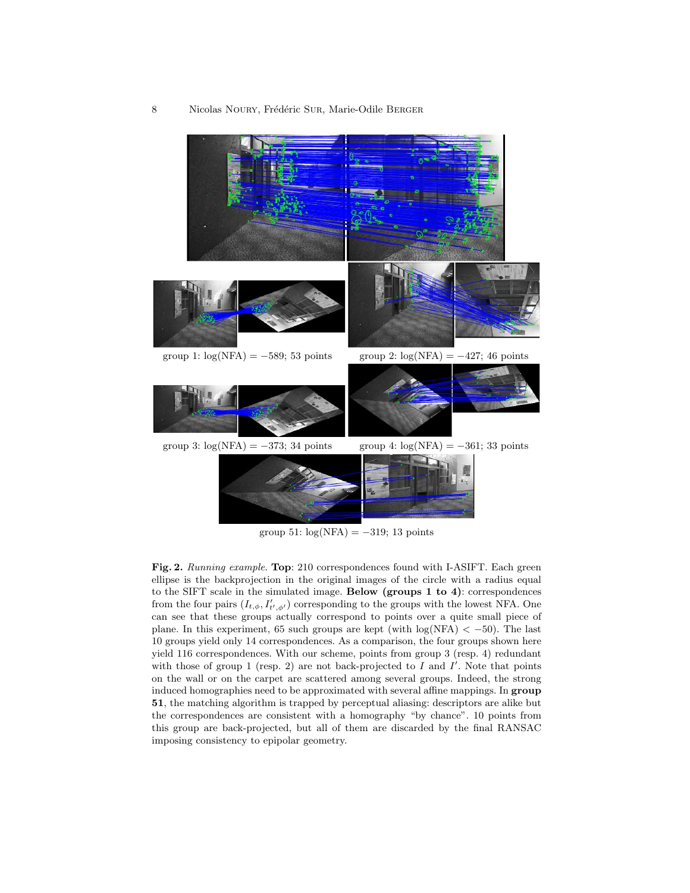

group 51:  $log(NFA) = -319$ ; 13 points

Fig. 2. Running example. Top: 210 correspondences found with I-ASIFT. Each green ellipse is the backprojection in the original images of the circle with a radius equal to the SIFT scale in the simulated image. Below (groups 1 to 4): correspondences from the four pairs  $(I_{t,\phi}, I'_{t',\phi'})$  corresponding to the groups with the lowest NFA. One can see that these groups actually correspond to points over a quite small piece of plane. In this experiment, 65 such groups are kept (with  $log(NFA) < -50$ ). The last 10 groups yield only 14 correspondences. As a comparison, the four groups shown here yield 116 correspondences. With our scheme, points from group 3 (resp. 4) redundant with those of group 1 (resp. 2) are not back-projected to  $I$  and  $I'$ . Note that points on the wall or on the carpet are scattered among several groups. Indeed, the strong induced homographies need to be approximated with several affine mappings. In group 51, the matching algorithm is trapped by perceptual aliasing: descriptors are alike but the correspondences are consistent with a homography "by chance". 10 points from this group are back-projected, but all of them are discarded by the final RANSAC imposing consistency to epipolar geometry.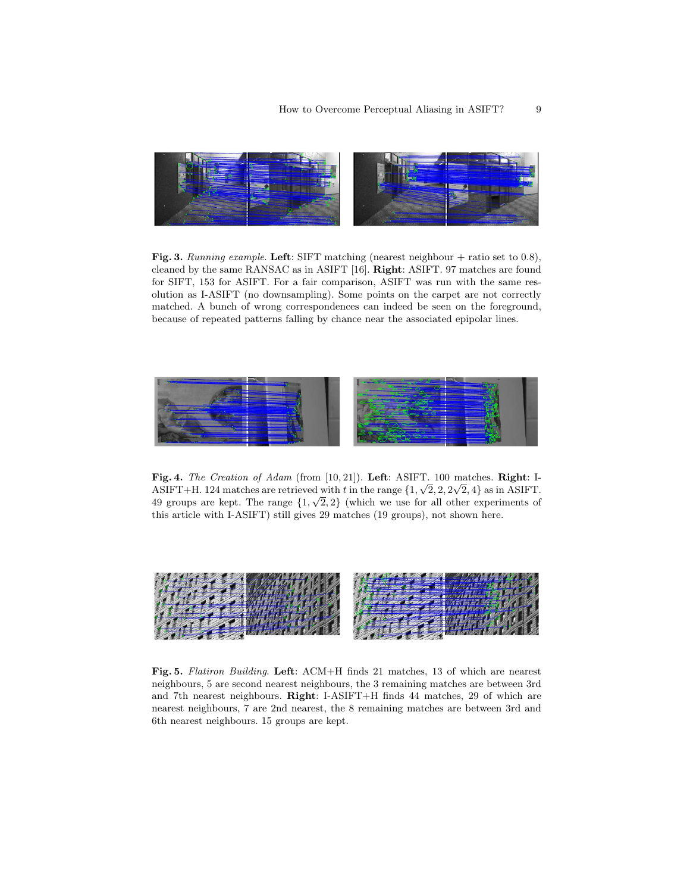

Fig. 3. Running example. Left: SIFT matching (nearest neighbour + ratio set to 0.8), cleaned by the same RANSAC as in ASIFT [16]. Right: ASIFT. 97 matches are found for SIFT, 153 for ASIFT. For a fair comparison, ASIFT was run with the same resolution as I-ASIFT (no downsampling). Some points on the carpet are not correctly matched. A bunch of wrong correspondences can indeed be seen on the foreground, because of repeated patterns falling by chance near the associated epipolar lines.



Fig. 4. The Creation of Adam (from [10, 21]). Left: ASIFT. 100 matches. Right: I-ASIFT+H. 124 matches are retrieved with t in the range  $\{1, \sqrt{2}, 2, 2\sqrt{2}, 4\}$  as in ASIFT. 49 groups are kept. The range  $\{1,\sqrt{2},2\}$  (which we use for all other experiments of this article with I-ASIFT) still gives 29 matches (19 groups), not shown here.



Fig. 5. Flatiron Building. Left: ACM+H finds 21 matches, 13 of which are nearest neighbours, 5 are second nearest neighbours, the 3 remaining matches are between 3rd and 7th nearest neighbours. Right: I-ASIFT+H finds 44 matches, 29 of which are nearest neighbours, 7 are 2nd nearest, the 8 remaining matches are between 3rd and 6th nearest neighbours. 15 groups are kept.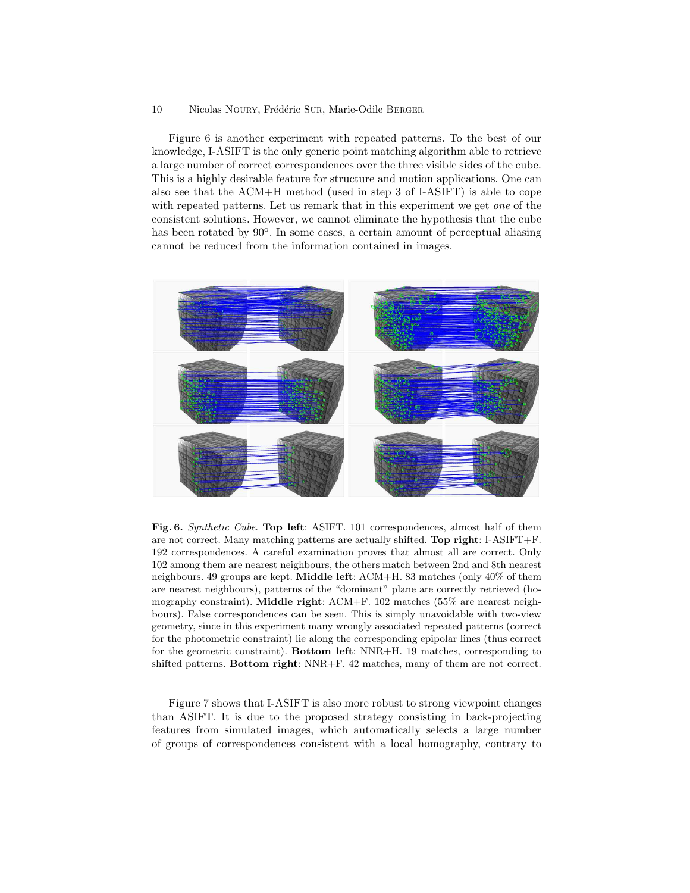Figure 6 is another experiment with repeated patterns. To the best of our knowledge, I-ASIFT is the only generic point matching algorithm able to retrieve a large number of correct correspondences over the three visible sides of the cube. This is a highly desirable feature for structure and motion applications. One can also see that the ACM+H method (used in step 3 of I-ASIFT) is able to cope with repeated patterns. Let us remark that in this experiment we get one of the consistent solutions. However, we cannot eliminate the hypothesis that the cube has been rotated by  $90^{\circ}$ . In some cases, a certain amount of perceptual aliasing cannot be reduced from the information contained in images.



Fig. 6. Synthetic Cube. Top left: ASIFT. 101 correspondences, almost half of them are not correct. Many matching patterns are actually shifted. Top right: I-ASIFT+F. 192 correspondences. A careful examination proves that almost all are correct. Only 102 among them are nearest neighbours, the others match between 2nd and 8th nearest neighbours. 49 groups are kept. Middle left: ACM+H. 83 matches (only 40% of them are nearest neighbours), patterns of the "dominant" plane are correctly retrieved (homography constraint). Middle right: ACM+F. 102 matches (55% are nearest neighbours). False correspondences can be seen. This is simply unavoidable with two-view geometry, since in this experiment many wrongly associated repeated patterns (correct for the photometric constraint) lie along the corresponding epipolar lines (thus correct for the geometric constraint). Bottom left: NNR+H. 19 matches, corresponding to shifted patterns. Bottom right: NNR+F. 42 matches, many of them are not correct.

Figure 7 shows that I-ASIFT is also more robust to strong viewpoint changes than ASIFT. It is due to the proposed strategy consisting in back-projecting features from simulated images, which automatically selects a large number of groups of correspondences consistent with a local homography, contrary to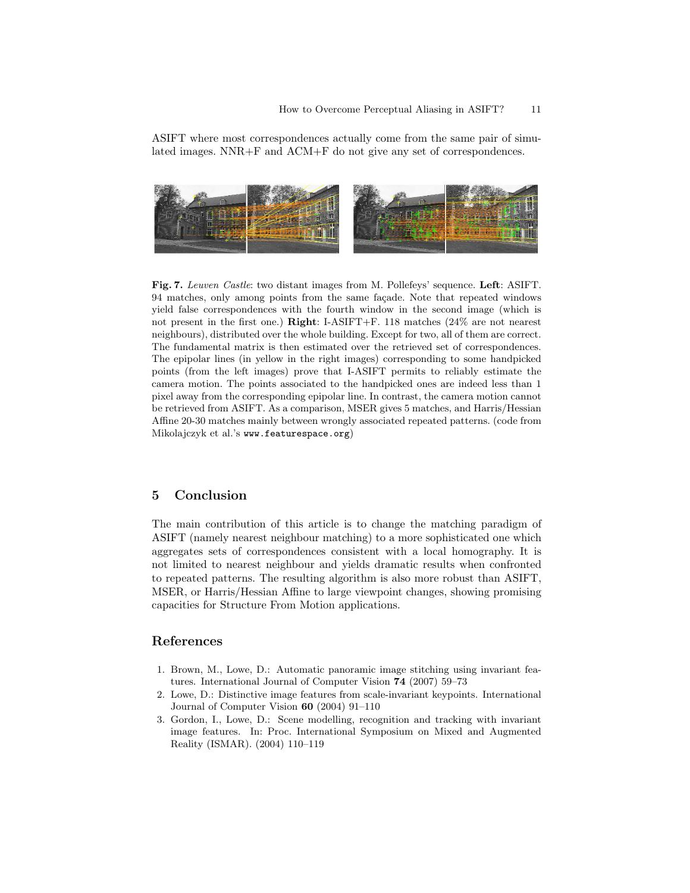ASIFT where most correspondences actually come from the same pair of simulated images. NNR+F and ACM+F do not give any set of correspondences.



Fig. 7. Leuven Castle: two distant images from M. Pollefeys' sequence. Left: ASIFT. 94 matches, only among points from the same façade. Note that repeated windows yield false correspondences with the fourth window in the second image (which is not present in the first one.) Right: I-ASIFT+F. 118 matches (24% are not nearest neighbours), distributed over the whole building. Except for two, all of them are correct. The fundamental matrix is then estimated over the retrieved set of correspondences. The epipolar lines (in yellow in the right images) corresponding to some handpicked points (from the left images) prove that I-ASIFT permits to reliably estimate the camera motion. The points associated to the handpicked ones are indeed less than 1 pixel away from the corresponding epipolar line. In contrast, the camera motion cannot be retrieved from ASIFT. As a comparison, MSER gives 5 matches, and Harris/Hessian Affine 20-30 matches mainly between wrongly associated repeated patterns. (code from Mikolajczyk et al.'s www.featurespace.org)

### 5 Conclusion

The main contribution of this article is to change the matching paradigm of ASIFT (namely nearest neighbour matching) to a more sophisticated one which aggregates sets of correspondences consistent with a local homography. It is not limited to nearest neighbour and yields dramatic results when confronted to repeated patterns. The resulting algorithm is also more robust than ASIFT, MSER, or Harris/Hessian Affine to large viewpoint changes, showing promising capacities for Structure From Motion applications.

#### References

- 1. Brown, M., Lowe, D.: Automatic panoramic image stitching using invariant features. International Journal of Computer Vision 74 (2007) 59–73
- 2. Lowe, D.: Distinctive image features from scale-invariant keypoints. International Journal of Computer Vision 60 (2004) 91–110
- 3. Gordon, I., Lowe, D.: Scene modelling, recognition and tracking with invariant image features. In: Proc. International Symposium on Mixed and Augmented Reality (ISMAR). (2004) 110–119